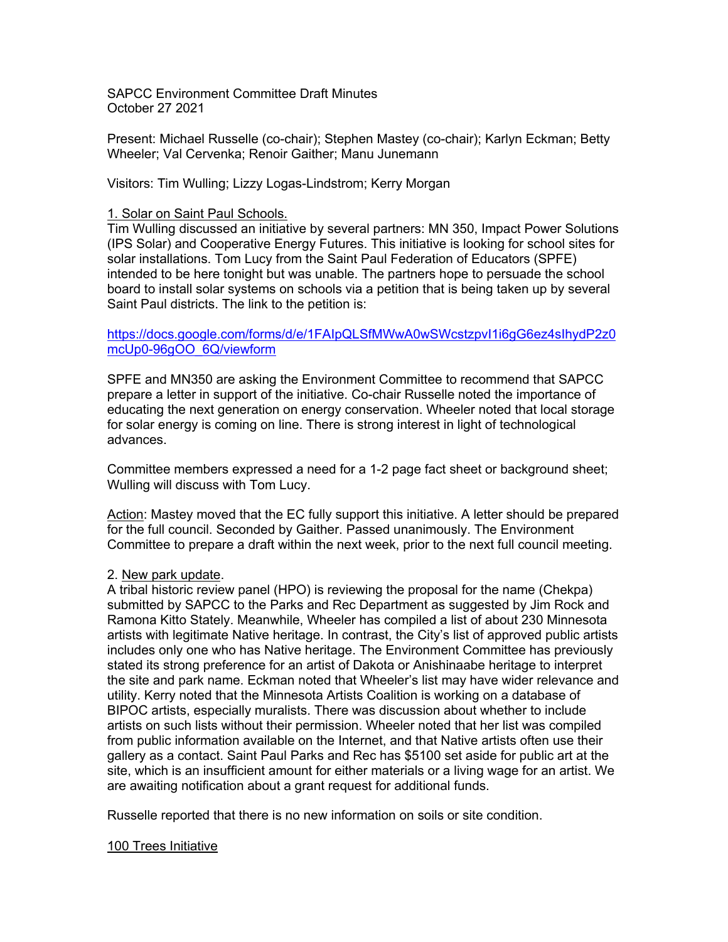SAPCC Environment Committee Draft Minutes October 27 2021

Present: Michael Russelle (co-chair); Stephen Mastey (co-chair); Karlyn Eckman; Betty Wheeler; Val Cervenka; Renoir Gaither; Manu Junemann

Visitors: Tim Wulling; Lizzy Logas-Lindstrom; Kerry Morgan

### 1. Solar on Saint Paul Schools.

Tim Wulling discussed an initiative by several partners: MN 350, Impact Power Solutions (IPS Solar) and Cooperative Energy Futures. This initiative is looking for school sites for solar installations. Tom Lucy from the Saint Paul Federation of Educators (SPFE) intended to be here tonight but was unable. The partners hope to persuade the school board to install solar systems on schools via a petition that is being taken up by several Saint Paul districts. The link to the petition is:

## https://docs.google.com/forms/d/e/1FAIpQLSfMWwA0wSWcstzpvI1i6gG6ez4sIhydP2z0 mcUp0-96gOO\_6Q/viewform

SPFE and MN350 are asking the Environment Committee to recommend that SAPCC prepare a letter in support of the initiative. Co-chair Russelle noted the importance of educating the next generation on energy conservation. Wheeler noted that local storage for solar energy is coming on line. There is strong interest in light of technological advances.

Committee members expressed a need for a 1-2 page fact sheet or background sheet; Wulling will discuss with Tom Lucy.

Action: Mastey moved that the EC fully support this initiative. A letter should be prepared for the full council. Seconded by Gaither. Passed unanimously. The Environment Committee to prepare a draft within the next week, prior to the next full council meeting.

# 2. New park update.

A tribal historic review panel (HPO) is reviewing the proposal for the name (Chekpa) submitted by SAPCC to the Parks and Rec Department as suggested by Jim Rock and Ramona Kitto Stately. Meanwhile, Wheeler has compiled a list of about 230 Minnesota artists with legitimate Native heritage. In contrast, the City's list of approved public artists includes only one who has Native heritage. The Environment Committee has previously stated its strong preference for an artist of Dakota or Anishinaabe heritage to interpret the site and park name. Eckman noted that Wheeler's list may have wider relevance and utility. Kerry noted that the Minnesota Artists Coalition is working on a database of BIPOC artists, especially muralists. There was discussion about whether to include artists on such lists without their permission. Wheeler noted that her list was compiled from public information available on the Internet, and that Native artists often use their gallery as a contact. Saint Paul Parks and Rec has \$5100 set aside for public art at the site, which is an insufficient amount for either materials or a living wage for an artist. We are awaiting notification about a grant request for additional funds.

Russelle reported that there is no new information on soils or site condition.

### 100 Trees Initiative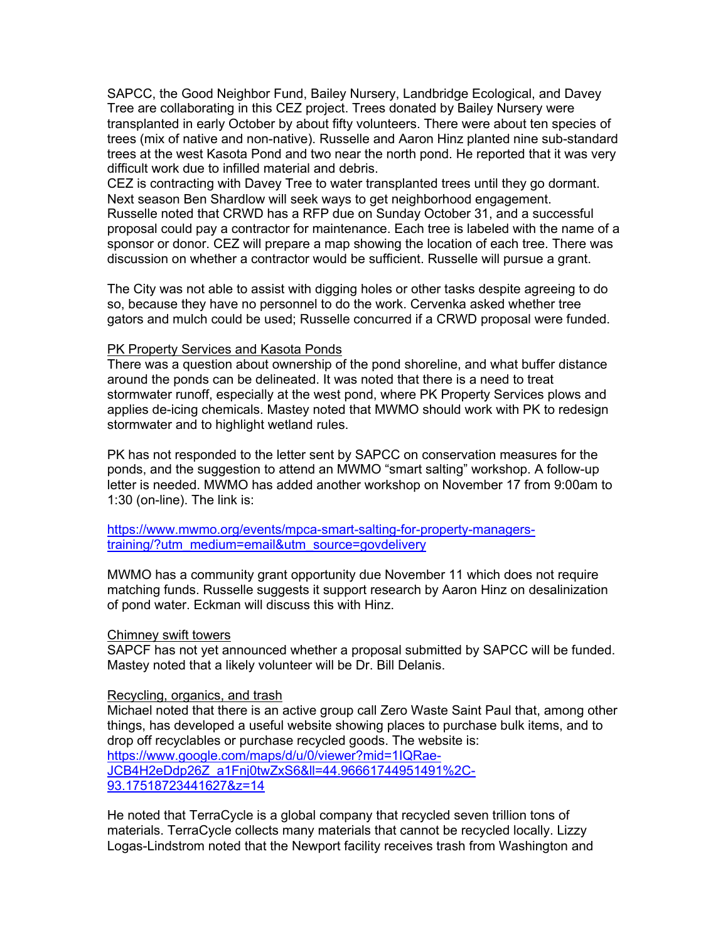SAPCC, the Good Neighbor Fund, Bailey Nursery, Landbridge Ecological, and Davey Tree are collaborating in this CEZ project. Trees donated by Bailey Nursery were transplanted in early October by about fifty volunteers. There were about ten species of trees (mix of native and non-native). Russelle and Aaron Hinz planted nine sub-standard trees at the west Kasota Pond and two near the north pond. He reported that it was very difficult work due to infilled material and debris.

CEZ is contracting with Davey Tree to water transplanted trees until they go dormant. Next season Ben Shardlow will seek ways to get neighborhood engagement. Russelle noted that CRWD has a RFP due on Sunday October 31, and a successful proposal could pay a contractor for maintenance. Each tree is labeled with the name of a sponsor or donor. CEZ will prepare a map showing the location of each tree. There was discussion on whether a contractor would be sufficient. Russelle will pursue a grant.

The City was not able to assist with digging holes or other tasks despite agreeing to do so, because they have no personnel to do the work. Cervenka asked whether tree gators and mulch could be used; Russelle concurred if a CRWD proposal were funded.

#### PK Property Services and Kasota Ponds

There was a question about ownership of the pond shoreline, and what buffer distance around the ponds can be delineated. It was noted that there is a need to treat stormwater runoff, especially at the west pond, where PK Property Services plows and applies de-icing chemicals. Mastey noted that MWMO should work with PK to redesign stormwater and to highlight wetland rules.

PK has not responded to the letter sent by SAPCC on conservation measures for the ponds, and the suggestion to attend an MWMO "smart salting" workshop. A follow-up letter is needed. MWMO has added another workshop on November 17 from 9:00am to 1:30 (on-line). The link is:

https://www.mwmo.org/events/mpca-smart-salting-for-property-managerstraining/?utm\_medium=email&utm\_source=govdelivery

MWMO has a community grant opportunity due November 11 which does not require matching funds. Russelle suggests it support research by Aaron Hinz on desalinization of pond water. Eckman will discuss this with Hinz.

### Chimney swift towers

SAPCF has not yet announced whether a proposal submitted by SAPCC will be funded. Mastey noted that a likely volunteer will be Dr. Bill Delanis.

#### Recycling, organics, and trash

Michael noted that there is an active group call Zero Waste Saint Paul that, among other things, has developed a useful website showing places to purchase bulk items, and to drop off recyclables or purchase recycled goods. The website is: https://www.google.com/maps/d/u/0/viewer?mid=1IQRae-JCB4H2eDdp26Z\_a1Fnj0twZxS6&ll=44.96661744951491%2C-93.17518723441627&z=14

He noted that TerraCycle is a global company that recycled seven trillion tons of materials. TerraCycle collects many materials that cannot be recycled locally. Lizzy Logas-Lindstrom noted that the Newport facility receives trash from Washington and